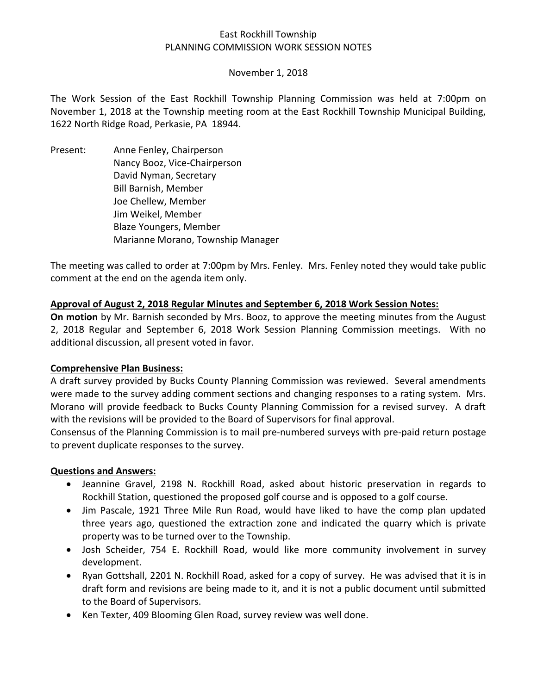# East Rockhill Township PLANNING COMMISSION WORK SESSION NOTES

### November 1, 2018

The Work Session of the East Rockhill Township Planning Commission was held at 7:00pm on November 1, 2018 at the Township meeting room at the East Rockhill Township Municipal Building, 1622 North Ridge Road, Perkasie, PA 18944.

Present: Anne Fenley, Chairperson Nancy Booz, Vice-Chairperson David Nyman, Secretary Bill Barnish, Member Joe Chellew, Member Jim Weikel, Member Blaze Youngers, Member Marianne Morano, Township Manager

The meeting was called to order at 7:00pm by Mrs. Fenley. Mrs. Fenley noted they would take public comment at the end on the agenda item only.

## **Approval of August 2, 2018 Regular Minutes and September 6, 2018 Work Session Notes:**

**On motion** by Mr. Barnish seconded by Mrs. Booz, to approve the meeting minutes from the August 2, 2018 Regular and September 6, 2018 Work Session Planning Commission meetings. With no additional discussion, all present voted in favor.

### **Comprehensive Plan Business:**

A draft survey provided by Bucks County Planning Commission was reviewed. Several amendments were made to the survey adding comment sections and changing responses to a rating system. Mrs. Morano will provide feedback to Bucks County Planning Commission for a revised survey. A draft with the revisions will be provided to the Board of Supervisors for final approval.

Consensus of the Planning Commission is to mail pre-numbered surveys with pre-paid return postage to prevent duplicate responses to the survey.

### **Questions and Answers:**

- Jeannine Gravel, 2198 N. Rockhill Road, asked about historic preservation in regards to Rockhill Station, questioned the proposed golf course and is opposed to a golf course.
- Jim Pascale, 1921 Three Mile Run Road, would have liked to have the comp plan updated three years ago, questioned the extraction zone and indicated the quarry which is private property was to be turned over to the Township.
- Josh Scheider, 754 E. Rockhill Road, would like more community involvement in survey development.
- Ryan Gottshall, 2201 N. Rockhill Road, asked for a copy of survey. He was advised that it is in draft form and revisions are being made to it, and it is not a public document until submitted to the Board of Supervisors.
- Ken Texter, 409 Blooming Glen Road, survey review was well done.